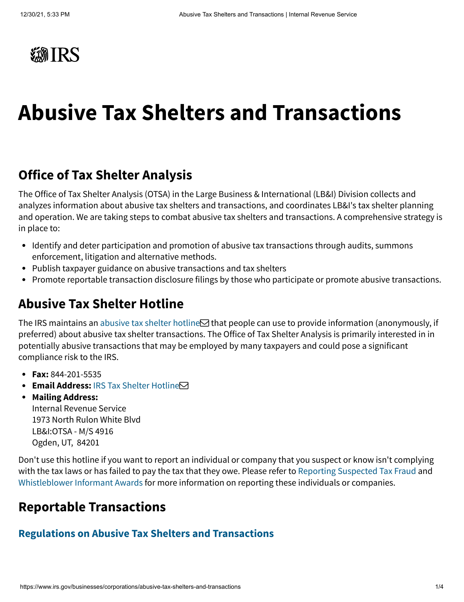

# **Abusive Tax Shelters and Transactions**

#### **Office of Tax Shelter Analysis**

The Office of Tax Shelter Analysis (OTSA) in the Large Business & International (LB&I) Division collects and analyzes information about abusive tax shelters and transactions, and coordinates LB&I's tax shelter planning and operation. We are taking steps to combat abusive tax shelters and transactions. A comprehensive strategy is in place to:

- Identify and deter participation and promotion of abusive tax transactions through audits, summons enforcement, litigation and alternative methods.
- Publish taxpayer guidance on abusive transactions and tax shelters
- Promote reportable transaction disclosure filings by those who participate or promote abusive transactions.

#### **Abusive Tax Shelter Hotline**

The IRS maintains an [abusive tax shelter hotline](mailto:IRS.Tax.Shelter.Hotline@irs.gov) $\boxtimes$  that people can use to provide information (anonymously, if preferred) about abusive tax shelter transactions. The Office of Tax Shelter Analysis is primarily interested in in potentially abusive transactions that may be employed by many taxpayers and could pose a significant compliance risk to the IRS.

- **Fax:** 844-201-5535
- **Email Address: [IRS Tax Shelter Hotline](mailto:irs.tax.shelter.hotline@irs.gov)**
- **Mailing Address:**

Internal Revenue Service 1973 North Rulon White Blvd LB&I:OTSA - M/S 4916 Ogden, UT, 84201

Don't use this hotline if you want to report an individual or company that you suspect or know isn't complying with the tax laws or has failed to pay the tax that they owe. Please refer to [Reporting Suspected Tax Fraud](https://www.irs.gov/individuals/how-do-you-report-suspected-tax-fraud-activity) and [Whistleblower Informant Awards](https://www.irs.gov/compliance/whistleblower-office) for more information on reporting these individuals or companies.

#### **Reportable Transactions**

#### **[Regulations on Abusive Tax Shelters and Transactions](https://www.irs.gov/businesses/corporations/regulations-on-abusive-tax-shelters-and-transactions)**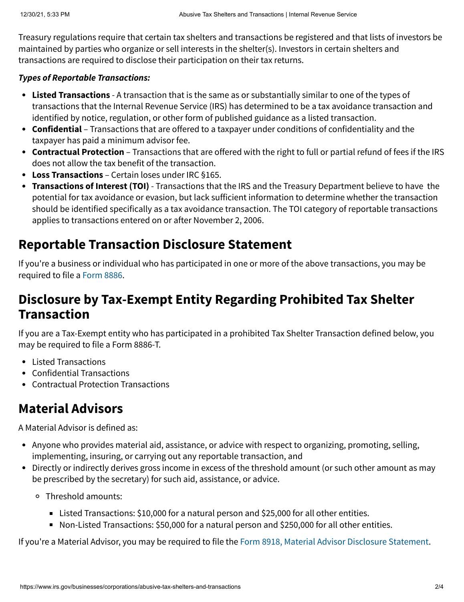Treasury regulations require that certain tax shelters and transactions be registered and that lists of investors be maintained by parties who organize or sell interests in the shelter(s). Investors in certain shelters and transactions are required to disclose their participation on their tax returns.

#### **Types of Reportable Transactions:**

- **[Listed Transactions](https://www.irs.gov/businesses/corporations/listed-transactions)** A transaction that is the same as or substantially similar to one of the types of transactions that the Internal Revenue Service (IRS) has determined to be a tax avoidance transaction and identified by notice, regulation, or other form of published guidance as a listed transaction.
- **Confidential** Transactions that are offered to a taxpayer under conditions of confidentiality and the taxpayer has paid a minimum advisor fee.
- **Contractual Protection** Transactions that are offered with the right to full or partial refund of fees if the IRS does not allow the tax benefit of the transaction.
- **[Loss Transactions](https://www.irs.gov/businesses/disclosure-of-loss-reportable-transactions)** Certain loses under IRC §165.
- **[Transactions of Interest \(TOI\)](https://www.irs.gov/businesses/corporations/transactions-of-interest)** Transactions that the IRS and the Treasury Department believe to have the potential for tax avoidance or evasion, but lack sufficient information to determine whether the transaction should be identified specifically as a tax avoidance transaction. The TOI category of reportable transactions applies to transactions entered on or after November 2, 2006.

## **Reportable Transaction Disclosure Statement**

If you're a business or individual who has participated in one or more of the above transactions, you may be required to file a [Form 8886.](https://www.irs.gov/forms-pubs/about-form-8886)

#### **Disclosure by Tax-Exempt Entity Regarding Prohibited Tax Shelter Transaction**

If you are a Tax-Exempt entity who has participated in a prohibited Tax Shelter Transaction defined below, you may be required to file a Form 8886-T.

- Listed Transactions
- Confidential Transactions
- Contractual Protection Transactions

## **Material Advisors**

A Material Advisor is defined as:

- Anyone who provides material aid, assistance, or advice with respect to organizing, promoting, selling, implementing, insuring, or carrying out any reportable transaction, and
- Directly or indirectly derives gross income in excess of the threshold amount (or such other amount as may be prescribed by the secretary) for such aid, assistance, or advice.
	- Threshold amounts:
		- Listed Transactions: \$10,000 for a natural person and \$25,000 for all other entities.
		- Non-Listed Transactions: \$50,000 for a natural person and \$250,000 for all other entities.

If you're a Material Advisor, you may be required to file the [Form 8918, Material Advisor Disclosure Statement.](https://www.irs.gov/forms-pubs/about-form-8918)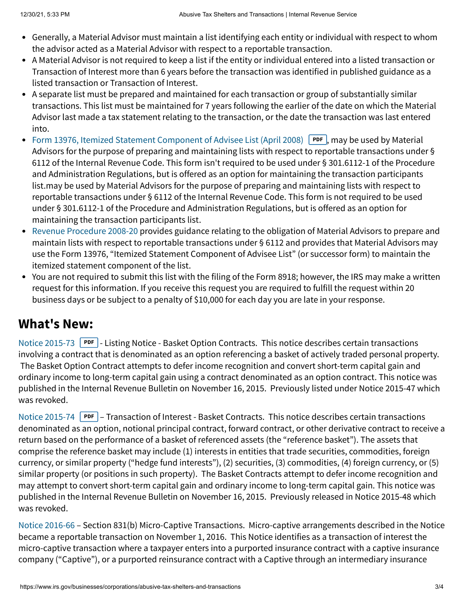- Generally, a Material Advisor must maintain a list identifying each entity or individual with respect to whom the advisor acted as a Material Advisor with respect to a reportable transaction.
- A Material Advisor is not required to keep a list if the entity or individual entered into a listed transaction or Transaction of Interest more than 6 years before the transaction was identified in published guidance as a listed transaction or Transaction of Interest.
- A separate list must be prepared and maintained for each transaction or group of substantially similar transactions. This list must be maintained for 7 years following the earlier of the date on which the Material Advisor last made a tax statement relating to the transaction, or the date the transaction was last entered into.
- [Form 13976, Itemized Statement Component of Advisee List \(April 2008\)](https://www.irs.gov/pub/irs-pdf/f13976.pdf) PDF, may be used by Material Advisors for the purpose of preparing and maintaining lists with respect to reportable transactions under § 6112 of the Internal Revenue Code. This form isn't required to be used under § 301.6112-1 of the Procedure and Administration Regulations, but is offered as an option for maintaining the transaction participants list.may be used by Material Advisors for the purpose of preparing and maintaining lists with respect to reportable transactions under § 6112 of the Internal Revenue Code. This form is not required to be used under § 301.6112-1 of the Procedure and Administration Regulations, but is offered as an option for maintaining the transaction participants list.
- [Revenue Procedure 2008-20](https://www.irs.gov/businesses/revenue-procedure-2008-20) provides guidance relating to the obligation of Material Advisors to prepare and  $\bullet$ maintain lists with respect to reportable transactions under § 6112 and provides that Material Advisors may use the Form 13976, "Itemized Statement Component of Advisee List" (or successor form) to maintain the itemized statement component of the list.
- You are not required to submit this list with the filing of the Form 8918; however, the IRS may make a written request for this information. If you receive this request you are required to fulfill the request within 20 business days or be subject to a penalty of \$10,000 for each day you are late in your response.

## **What's New:**

[Notice 2015-73](https://www.irs.gov/pub/irs-drop/n-15-73.pdf) **PDF** - Listing Notice - Basket Option Contracts. This notice describes certain transactions involving a contract that is denominated as an option referencing a basket of actively traded personal property. The Basket Option Contract attempts to defer income recognition and convert short-term capital gain and ordinary income to long-term capital gain using a contract denominated as an option contract. This notice was published in the Internal Revenue Bulletin on November 16, 2015. Previously listed under Notice 2015-47 which was revoked.

[Notice 2015-74](https://www.irs.gov/pub/irs-drop/n-15-74.pdf) **PDF** – Transaction of Interest - Basket Contracts. This notice describes certain transactions denominated as an option, notional principal contract, forward contract, or other derivative contract to receive a return based on the performance of a basket of referenced assets (the "reference basket"). The assets that comprise the reference basket may include (1) interests in entities that trade securities, commodities, foreign currency, or similar property ("hedge fund interests"), (2) securities, (3) commodities, (4) foreign currency, or (5) similar property (or positions in such property). The Basket Contracts attempt to defer income recognition and may attempt to convert short-term capital gain and ordinary income to long-term capital gain. This notice was published in the Internal Revenue Bulletin on November 16, 2015. Previously released in Notice 2015-48 which was revoked.

[Notice 2016-66](https://www.irs.gov/irb/2016-47_IRB) – Section 831(b) Micro-Captive Transactions. Micro-captive arrangements described in the Notice became a reportable transaction on November 1, 2016. This Notice identifies as a transaction of interest the micro-captive transaction where a taxpayer enters into a purported insurance contract with a captive insurance company ("Captive"), or a purported reinsurance contract with a Captive through an intermediary insurance